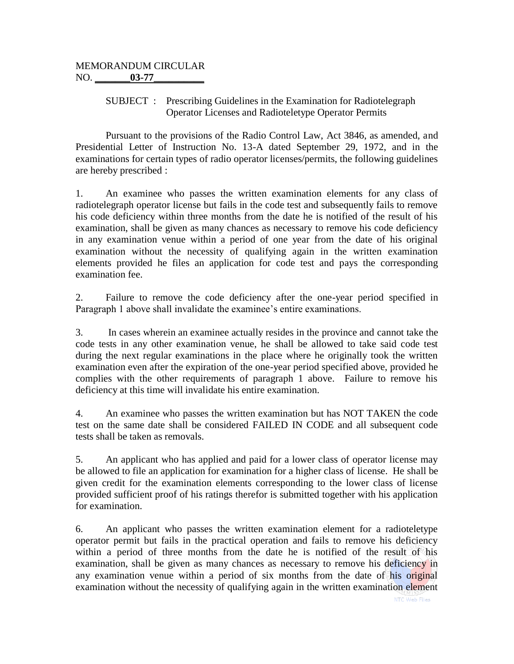## SUBJECT : Prescribing Guidelines in the Examination for Radiotelegraph Operator Licenses and Radioteletype Operator Permits

Pursuant to the provisions of the Radio Control Law, Act 3846, as amended, and Presidential Letter of Instruction No. 13-A dated September 29, 1972, and in the examinations for certain types of radio operator licenses/permits, the following guidelines are hereby prescribed :

1. An examinee who passes the written examination elements for any class of radiotelegraph operator license but fails in the code test and subsequently fails to remove his code deficiency within three months from the date he is notified of the result of his examination, shall be given as many chances as necessary to remove his code deficiency in any examination venue within a period of one year from the date of his original examination without the necessity of qualifying again in the written examination elements provided he files an application for code test and pays the corresponding examination fee.

2. Failure to remove the code deficiency after the one-year period specified in Paragraph 1 above shall invalidate the examinee's entire examinations.

3. In cases wherein an examinee actually resides in the province and cannot take the code tests in any other examination venue, he shall be allowed to take said code test during the next regular examinations in the place where he originally took the written examination even after the expiration of the one-year period specified above, provided he complies with the other requirements of paragraph 1 above. Failure to remove his deficiency at this time will invalidate his entire examination.

4. An examinee who passes the written examination but has NOT TAKEN the code test on the same date shall be considered FAILED IN CODE and all subsequent code tests shall be taken as removals.

5. An applicant who has applied and paid for a lower class of operator license may be allowed to file an application for examination for a higher class of license. He shall be given credit for the examination elements corresponding to the lower class of license provided sufficient proof of his ratings therefor is submitted together with his application for examination.

6. An applicant who passes the written examination element for a radioteletype operator permit but fails in the practical operation and fails to remove his deficiency within a period of three months from the date he is notified of the result of his examination, shall be given as many chances as necessary to remove his deficiency in any examination venue within a period of six months from the date of his original examination without the necessity of qualifying again in the written examination element